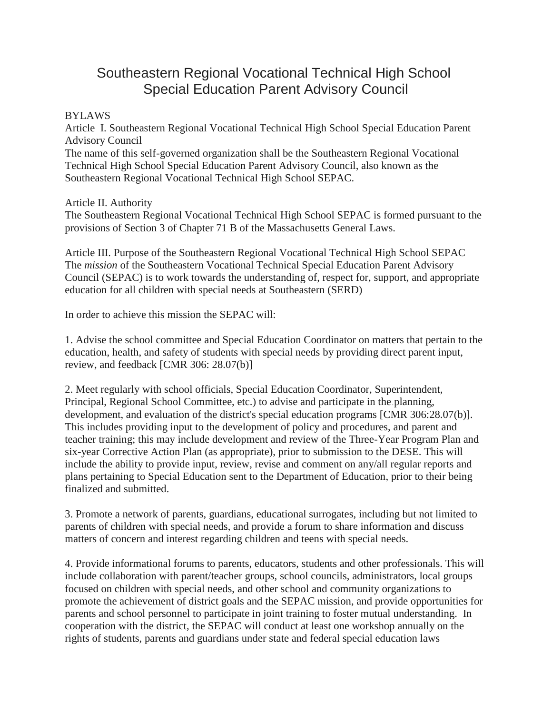# Southeastern Regional Vocational Technical High School Special Education Parent Advisory Council

## BYLAWS

Article I. Southeastern Regional Vocational Technical High School Special Education Parent Advisory Council

The name of this self-governed organization shall be the Southeastern Regional Vocational Technical High School Special Education Parent Advisory Council, also known as the Southeastern Regional Vocational Technical High School SEPAC.

Article II. Authority

The Southeastern Regional Vocational Technical High School SEPAC is formed pursuant to the provisions of Section 3 of Chapter 71 B of the Massachusetts General Laws.

Article III. Purpose of the Southeastern Regional Vocational Technical High School SEPAC The *mission* of the Southeastern Vocational Technical Special Education Parent Advisory Council (SEPAC) is to work towards the understanding of, respect for, support, and appropriate education for all children with special needs at Southeastern (SERD)

In order to achieve this mission the SEPAC will:

1. Advise the school committee and Special Education Coordinator on matters that pertain to the education, health, and safety of students with special needs by providing direct parent input, review, and feedback [CMR 306: 28.07(b)]

2. Meet regularly with school officials, Special Education Coordinator, Superintendent, Principal, Regional School Committee, etc.) to advise and participate in the.planning, development, and evaluation of the district's special education programs [CMR 306:28.07(b)]. This includes providing input to the development of policy and procedures, and parent and teacher training; this may include development and review of the Three-Year Program Plan and six-year Corrective Action Plan (as appropriate), prior to submission to the DESE. This will include the ability to provide input, review, revise and comment on any/all regular reports and plans pertaining to Special Education sent to the Department of Education, prior to their being finalized and submitted.

3. Promote a network of parents, guardians, educational surrogates, including but not limited to parents of children with special needs, and provide a forum to share information and discuss matters of concern and interest regarding children and teens with special needs.

4. Provide informational forums to parents, educators, students and other professionals. This will include collaboration with parent/teacher groups, school councils, administrators, local groups focused on children with special needs, and other school and community organizations to promote the achievement of district goals and the SEPAC mission, and provide opportunities for parents and school personnel to participate in joint training to foster mutual understanding. In cooperation with the district, the SEPAC will conduct at least one workshop annually on the rights of students, parents and guardians under state and federal special education laws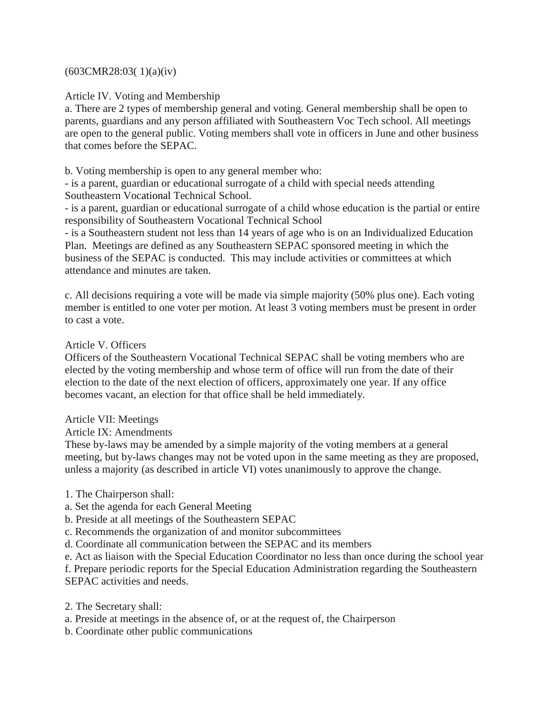#### (603CMR28:03( 1)(a)(iv)

Article IV. Voting and Membership

a. There are 2 types of membership general and voting. General membership shall be open to parents, guardians and any person affiliated with Southeastern Voc Tech school. All meetings are open to the general public. Voting members shall vote in officers in June and other business that comes before the SEPAC.

b. Voting membership is open to any general member who:

- is a parent, guardian or educational surrogate of a child with special needs attending Southeastern Vocational Technical School.

- is a parent, guardian or educational surrogate of a child whose education is the partial or entire responsibility of Southeastern Vocational Technical School

- is a Southeastern student not less than 14 years of age who is on an Individualized Education Plan. Meetings are defined as any Southeastern SEPAC sponsored meeting in which the business of the SEPAC is conducted. This may include activities or committees at which attendance and minutes are taken.

c. All decisions requiring a vote will be made via simple majority (50% plus one). Each voting member is entitled to one voter per motion. At least 3 voting members must be present in order to cast a vote.

### Article V. Officers

Officers of the Southeastern Vocational Technical SEPAC shall be voting members who are elected by the voting membership and whose term of office will run from the date of their election to the date of the next election of officers, approximately one year. If any office becomes vacant, an election for that office shall be held immediately.

#### Article VII: Meetings

Article IX: Amendments

These by-laws may be amended by a simple majority of the voting members at a general meeting, but by-laws changes may not be voted upon in the same meeting as they are proposed, unless a majority (as described in article VI) votes unanimously to approve the change.

- 1. The Chairperson shall:
- a. Set the agenda for each General Meeting
- b. Preside at all meetings of the Southeastern SEPAC
- c. Recommends the organization of and monitor subcommittees

d. Coordinate all communication between the SEPAC and its members

e. Act as liaison with the Special Education Coordinator no less than once during the school year

f. Prepare periodic reports for the Special Education Administration regarding the Southeastern SEPAC activities and needs.

- 2. The Secretary shall:
- a. Preside at meetings in the absence of, or at the request of, the Chairperson
- b. Coordinate other public communications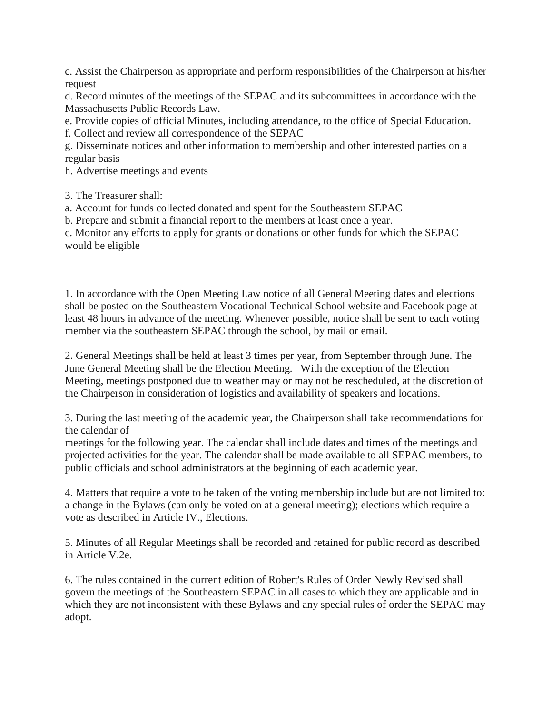c. Assist the Chairperson as appropriate and perform responsibilities of the Chairperson at his/her request

d. Record minutes of the meetings of the SEPAC and its subcommittees in accordance with the Massachusetts Public Records Law.

e. Provide copies of official Minutes, including attendance, to the office of Special Education.

f. Collect and review all correspondence of the SEPAC

g. Disseminate notices and other information to membership and other interested parties on a regular basis

h. Advertise meetings and events

3. The Treasurer shall:

a. Account for funds collected donated and spent for the Southeastern SEPAC

b. Prepare and submit a financial report to the members at least once a year.

c. Monitor any efforts to apply for grants or donations or other funds for which the SEPAC would be eligible

1. In accordance with the Open Meeting Law notice of all General Meeting dates and elections shall be posted on the Southeastern Vocational Technical School website and Facebook page at least 48 hours in advance of the meeting. Whenever possible, notice shall be sent to each voting member via the southeastern SEPAC through the school, by mail or email.

2. General Meetings shall be held at least 3 times per year, from September through June. The June General Meeting shall be the Election Meeting. With the exception of the Election Meeting, meetings postponed due to weather may or may not be rescheduled, at the discretion of the Chairperson in consideration of logistics and availability of speakers and locations.

3. During the last meeting of the academic year, the Chairperson shall take recommendations for the calendar of

meetings for the following year. The calendar shall include dates and times of the meetings and projected activities for the year. The calendar shall be made available to all SEPAC members, to public officials and school administrators at the beginning of each academic year.

4. Matters that require a vote to be taken of the voting membership include but are not limited to: a change in the Bylaws (can only be voted on at a general meeting); elections which require a vote as described in Article IV., Elections.

5. Minutes of all Regular Meetings shall be recorded and retained for public record as described in Article V.2e.

6. The rules contained in the current edition of Robert's Rules of Order Newly Revised shall govern the meetings of the Southeastern SEPAC in all cases to which they are applicable and in which they are not inconsistent with these Bylaws and any special rules of order the SEPAC may adopt.